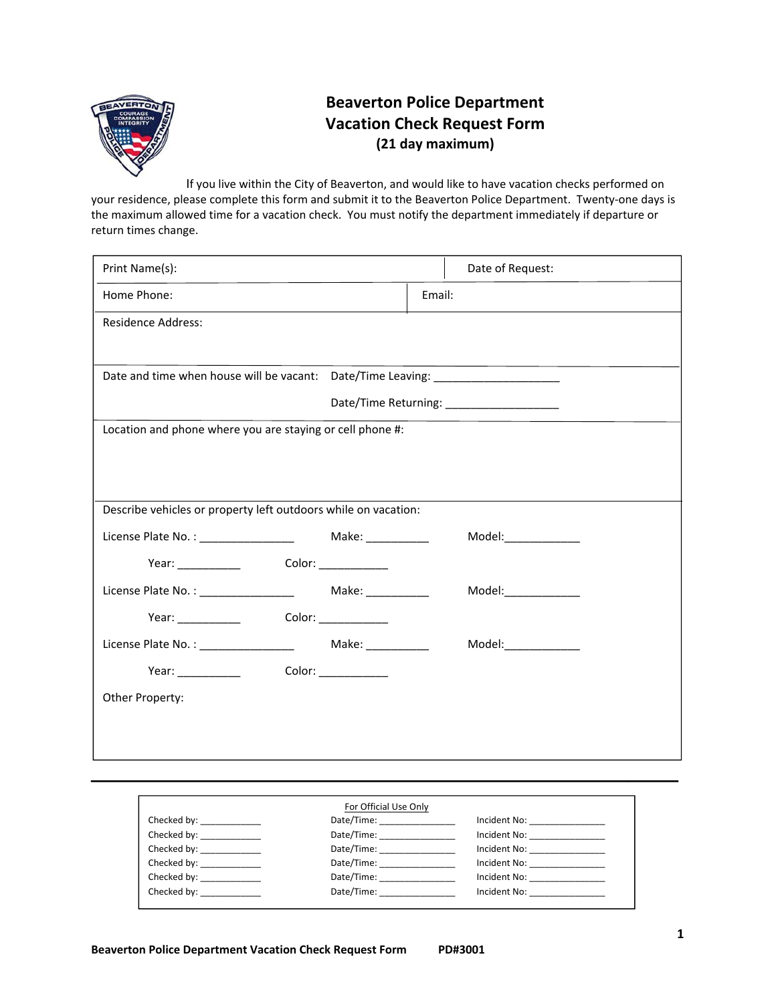

## **Beaverton Police Department Vacation Check Request Form (21 day maximum)**

If you live within the City of Beaverton, and would like to have vacation checks performed on your residence, please complete this form and submit it to the Beaverton Police Department. Twenty-one days is the maximum allowed time for a vacation check. You must notify the department immediately if departure or return times change.

| For Official Use Only       |                               |                                    |
|-----------------------------|-------------------------------|------------------------------------|
| Checked by: ______________  | Date/Time: __________________ | Incident No: <u>_____________</u>  |
| Checked by: ______________  | Date/Time: 2008               |                                    |
| Checked by: ______________  | Date/Time:                    |                                    |
| Checked by: ______________  |                               | Incident No:                       |
| Checked by: ______________  |                               | Incident No:                       |
| Checked by: _______________ | Date/Time:                    | Incident No: <u>______________</u> |
|                             |                               |                                    |